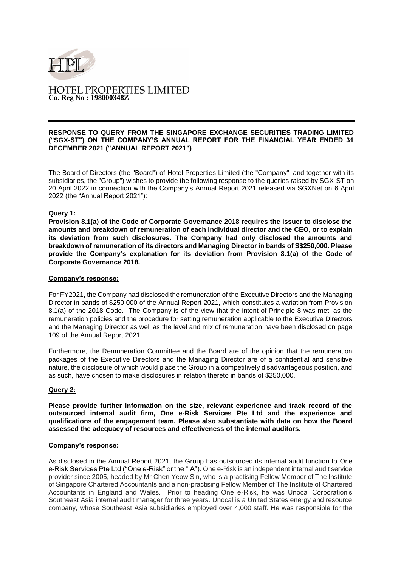

# **HOTEL PROPERTIES LIMITED Co. Reg No : 198000348Z**

#### **RESPONSE TO QUERY FROM THE SINGAPORE EXCHANGE SECURITIES TRADING LIMITED ("SGX-ST") ON THE COMPANY'S ANNUAL REPORT FOR THE FINANCIAL YEAR ENDED 31 DECEMBER 2021 ("ANNUAL REPORT 2021")**

The Board of Directors (the "Board") of Hotel Properties Limited (the "Company", and together with its subsidiaries, the "Group") wishes to provide the following response to the queries raised by SGX-ST on 20 April 2022 in connection with the Company's Annual Report 2021 released via SGXNet on 6 April 2022 (the "Annual Report 2021"):

## **Query 1:**

**Provision 8.1(a) of the Code of Corporate Governance 2018 requires the issuer to disclose the amounts and breakdown of remuneration of each individual director and the CEO, or to explain its deviation from such disclosures. The Company had only disclosed the amounts and breakdown of remuneration of its directors and Managing Director in bands of S\$250,000. Please provide the Company's explanation for its deviation from Provision 8.1(a) of the Code of Corporate Governance 2018.**

#### **Company's response:**

For FY2021, the Company had disclosed the remuneration of the Executive Directors and the Managing Director in bands of \$250,000 of the Annual Report 2021, which constitutes a variation from Provision 8.1(a) of the 2018 Code. The Company is of the view that the intent of Principle 8 was met, as the remuneration policies and the procedure for setting remuneration applicable to the Executive Directors and the Managing Director as well as the level and mix of remuneration have been disclosed on page 109 of the Annual Report 2021.

Furthermore, the Remuneration Committee and the Board are of the opinion that the remuneration packages of the Executive Directors and the Managing Director are of a confidential and sensitive nature, the disclosure of which would place the Group in a competitively disadvantageous position, and as such, have chosen to make disclosures in relation thereto in bands of \$250,000.

# **Query 2:**

**Please provide further information on the size, relevant experience and track record of the outsourced internal audit firm, One e-Risk Services Pte Ltd and the experience and qualifications of the engagement team. Please also substantiate with data on how the Board assessed the adequacy of resources and effectiveness of the internal auditors.**

### **Company's response:**

As disclosed in the Annual Report 2021, the Group has outsourced its internal audit function to One e-Risk Services Pte Ltd ("One e-Risk" or the "IA"). One e-Risk is an independent internal audit service provider since 2005, headed by Mr Chen Yeow Sin, who is a practising Fellow Member of The Institute of Singapore Chartered Accountants and a non-practising Fellow Member of The Institute of Chartered Accountants in England and Wales. Prior to heading One e-Risk, he was Unocal Corporation's Southeast Asia internal audit manager for three years. Unocal is a United States energy and resource company, whose Southeast Asia subsidiaries employed over 4,000 staff. He was responsible for the